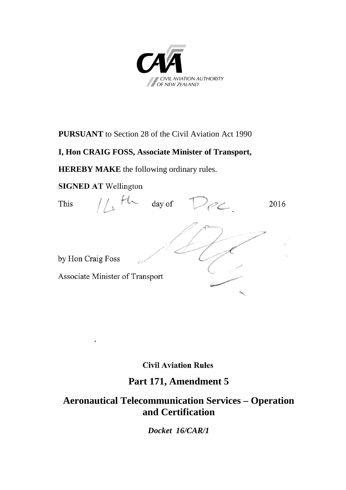

#### **PURSUANT** to Section 28 of the Civil Aviation Act 1990

#### **I, Hon CRAIG FOSS, Associate Minister of Transport,**

**HEREBY MAKE** the following ordinary rules.

#### **SIGNED AT Wellington**



#### **Civil Aviation Rules**

### **Part 171, Amendment 5**

### **Aeronautical Telecommunication Services – Operation and Certification**

*Docket 16/CAR/1*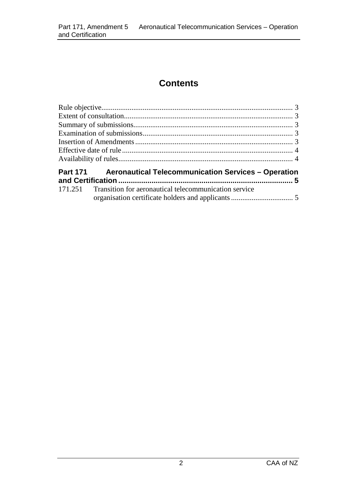# **Contents**

| Part 171 Aeronautical Telecommunication Services – Operation |                                                               |  |
|--------------------------------------------------------------|---------------------------------------------------------------|--|
|                                                              | 171.251 Transition for aeronautical telecommunication service |  |
|                                                              |                                                               |  |
|                                                              |                                                               |  |
|                                                              |                                                               |  |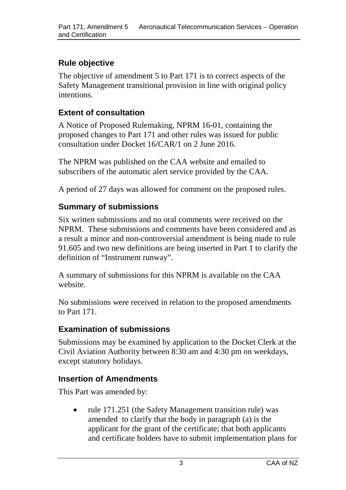# <span id="page-2-0"></span>**Rule objective**

The objective of amendment 5 to Part 171 is to correct aspects of the Safety Management transitional provision in line with original policy intentions.

### <span id="page-2-1"></span>**Extent of consultation**

A Notice of Proposed Rulemaking, NPRM 16-01, containing the proposed changes to Part 171 and other rules was issued for public consultation under Docket 16/CAR/1 on 2 June 2016.

The NPRM was published on the CAA website and emailed to subscribers of the automatic alert service provided by the CAA.

A period of 27 days was allowed for comment on the proposed rules.

# <span id="page-2-2"></span>**Summary of submissions**

Six written submissions and no oral comments were received on the NPRM. These submissions and comments have been considered and as a result a minor and non-controversial amendment is being made to rule 91.605 and two new definitions are being inserted in Part 1 to clarify the definition of "Instrument runway".

A summary of submissions for this NPRM is available on the CAA website.

No submissions were received in relation to the proposed amendments to Part 171.

### <span id="page-2-3"></span>**Examination of submissions**

Submissions may be examined by application to the Docket Clerk at the Civil Aviation Authority between 8:30 am and 4:30 pm on weekdays, except statutory holidays.

### <span id="page-2-4"></span>**Insertion of Amendments**

This Part was amended by:

• rule 171.251 (the Safety Management transition rule) was amended to clarify that the body in paragraph (a) is the applicant for the grant of the certificate; that both applicants and certificate holders have to submit implementation plans for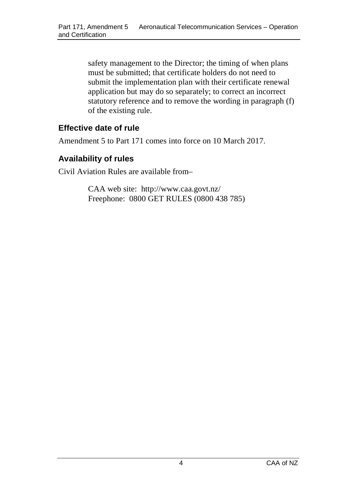safety management to the Director; the timing of when plans must be submitted; that certificate holders do not need to submit the implementation plan with their certificate renewal application but may do so separately; to correct an incorrect statutory reference and to remove the wording in paragraph (f) of the existing rule.

#### <span id="page-3-0"></span>**Effective date of rule**

Amendment 5 to Part 171 comes into force on 10 March 2017.

#### <span id="page-3-1"></span>**Availability of rules**

Civil Aviation Rules are available from–

CAA web site: <http://www.caa.govt.nz/> Freephone: 0800 GET RULES (0800 438 785)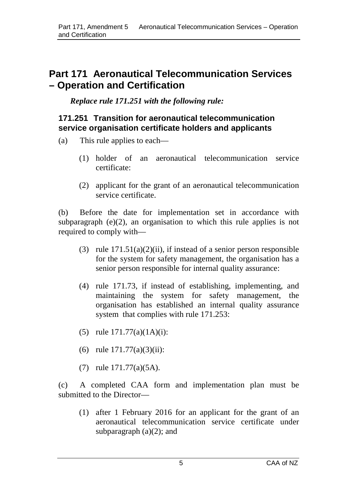# <span id="page-4-0"></span>**Part 171 Aeronautical Telecommunication Services – Operation and Certification**

*Replace rule 171.251 with the following rule:*

#### <span id="page-4-1"></span>**171.251 Transition for aeronautical telecommunication service organisation certificate holders and applicants**

- (a) This rule applies to each—
	- (1) holder of an aeronautical telecommunication service certificate:
	- (2) applicant for the grant of an aeronautical telecommunication service certificate.

(b) Before the date for implementation set in accordance with subparagraph (e)(2), an organisation to which this rule applies is not required to comply with—

- (3) rule  $171.51(a)(2)(ii)$ , if instead of a senior person responsible for the system for safety management, the organisation has a senior person responsible for internal quality assurance:
- (4) rule 171.73, if instead of establishing, implementing, and maintaining the system for safety management, the organisation has established an internal quality assurance system that complies with rule 171.253:
- (5) rule 171.77(a)(1A)(i):
- (6) rule 171.77(a)(3)(ii):
- (7) rule 171.77(a)(5A).

(c) A completed CAA form and implementation plan must be submitted to the Director—

(1) after 1 February 2016 for an applicant for the grant of an aeronautical telecommunication service certificate under subparagraph  $(a)(2)$ ; and